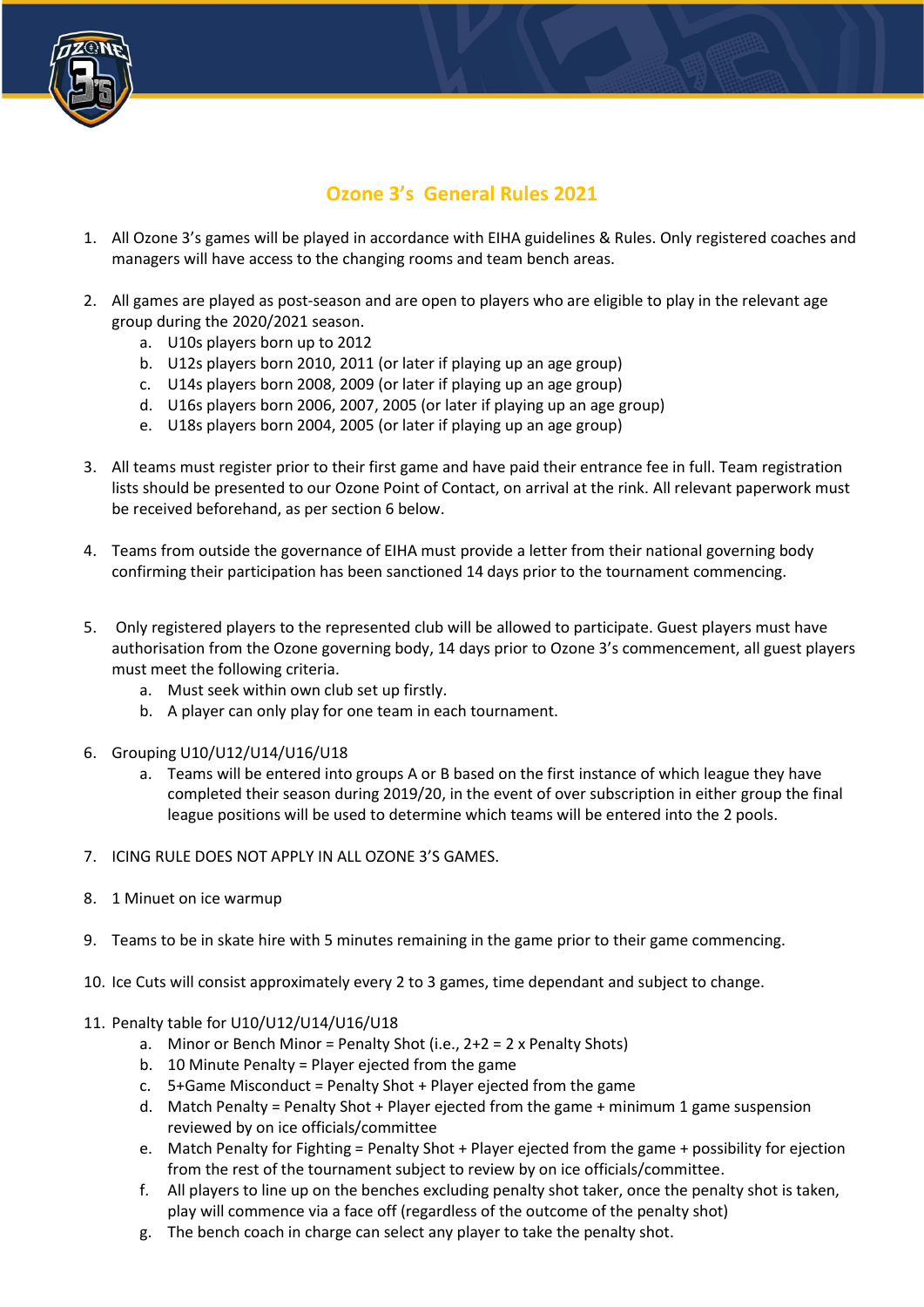

## **Ozone 3's General Rules 2021**

- 1. All Ozone 3's games will be played in accordance with EIHA guidelines & Rules. Only registered coaches and managers will have access to the changing rooms and team bench areas.
- 2. All games are played as post-season and are open to players who are eligible to play in the relevant age group during the 2020/2021 season.
	- a. U10s players born up to 2012
	- b. U12s players born 2010, 2011 (or later if playing up an age group)
	- c. U14s players born 2008, 2009 (or later if playing up an age group)
	- d. U16s players born 2006, 2007, 2005 (or later if playing up an age group)
	- e. U18s players born 2004, 2005 (or later if playing up an age group)
- 3. All teams must register prior to their first game and have paid their entrance fee in full. Team registration lists should be presented to our Ozone Point of Contact, on arrival at the rink. All relevant paperwork must be received beforehand, as per section 6 below.
- 4. Teams from outside the governance of EIHA must provide a letter from their national governing body confirming their participation has been sanctioned 14 days prior to the tournament commencing.
- 5. Only registered players to the represented club will be allowed to participate. Guest players must have authorisation from the Ozone governing body, 14 days prior to Ozone 3's commencement, all guest players must meet the following criteria.
	- a. Must seek within own club set up firstly.
	- b. A player can only play for one team in each tournament.
- 6. Grouping U10/U12/U14/U16/U18
	- a. Teams will be entered into groups A or B based on the first instance of which league they have completed their season during 2019/20, in the event of over subscription in either group the final league positions will be used to determine which teams will be entered into the 2 pools.
- 7. ICING RULE DOES NOT APPLY IN ALL OZONE 3'S GAMES.
- 8. 1 Minuet on ice warmup
- 9. Teams to be in skate hire with 5 minutes remaining in the game prior to their game commencing.
- 10. Ice Cuts will consist approximately every 2 to 3 games, time dependant and subject to change.
- 11. Penalty table for U10/U12/U14/U16/U18
	- a. Minor or Bench Minor = Penalty Shot (i.e.,  $2+2 = 2$  x Penalty Shots)
	- b. 10 Minute Penalty = Player ejected from the game
	- c. 5+Game Misconduct = Penalty Shot + Player ejected from the game
	- d. Match Penalty = Penalty Shot + Player ejected from the game + minimum 1 game suspension reviewed by on ice officials/committee
	- e. Match Penalty for Fighting = Penalty Shot + Player ejected from the game + possibility for ejection from the rest of the tournament subject to review by on ice officials/committee.
	- f. All players to line up on the benches excluding penalty shot taker, once the penalty shot is taken, play will commence via a face off (regardless of the outcome of the penalty shot)
	- g. The bench coach in charge can select any player to take the penalty shot.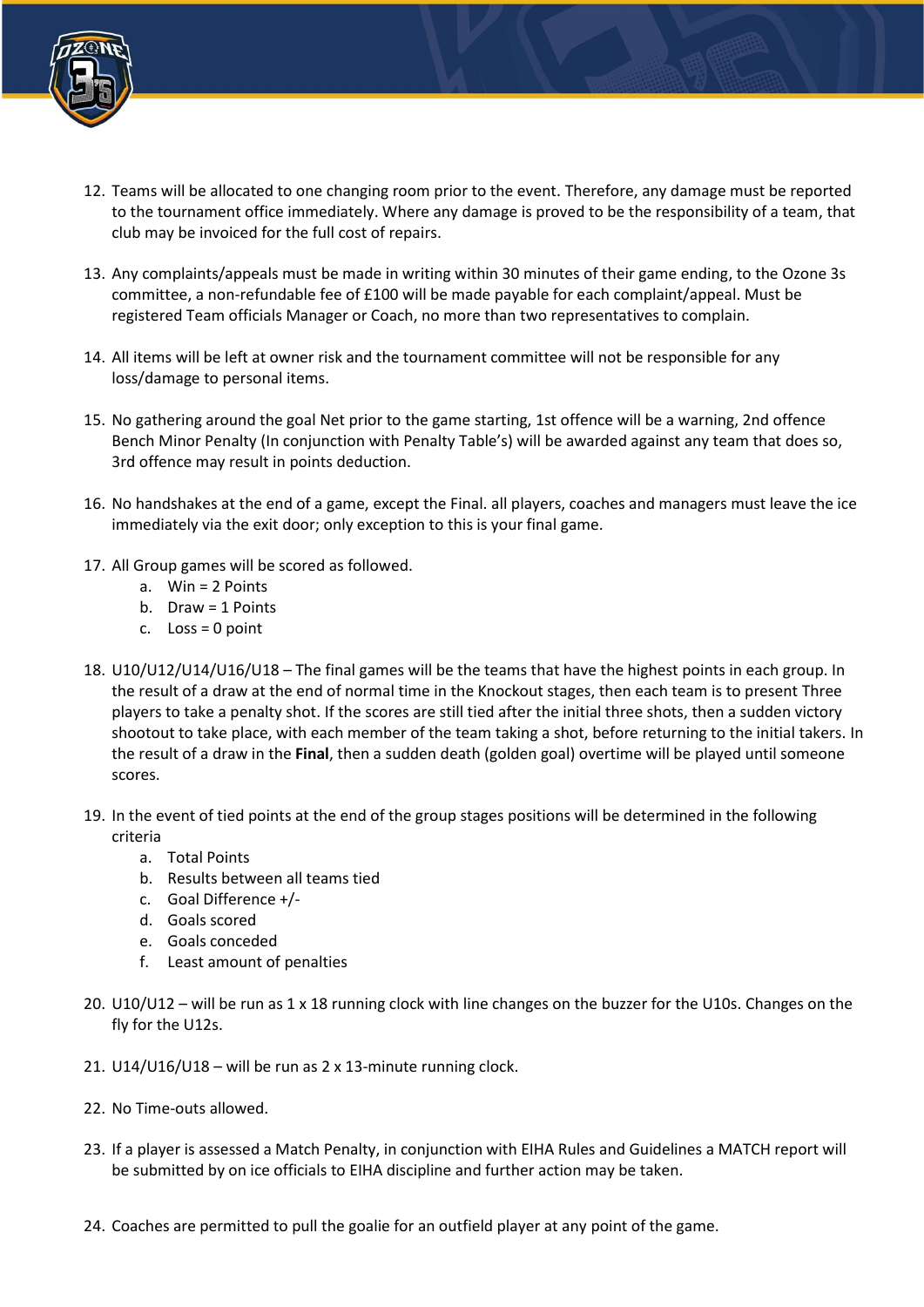

- 12. Teams will be allocated to one changing room prior to the event. Therefore, any damage must be reported to the tournament office immediately. Where any damage is proved to be the responsibility of a team, that club may be invoiced for the full cost of repairs.
- 13. Any complaints/appeals must be made in writing within 30 minutes of their game ending, to the Ozone 3s committee, a non-refundable fee of £100 will be made payable for each complaint/appeal. Must be registered Team officials Manager or Coach, no more than two representatives to complain.
- 14. All items will be left at owner risk and the tournament committee will not be responsible for any loss/damage to personal items.
- 15. No gathering around the goal Net prior to the game starting, 1st offence will be a warning, 2nd offence Bench Minor Penalty (In conjunction with Penalty Table's) will be awarded against any team that does so, 3rd offence may result in points deduction.
- 16. No handshakes at the end of a game, except the Final. all players, coaches and managers must leave the ice immediately via the exit door; only exception to this is your final game.
- 17. All Group games will be scored as followed.
	- a. Win = 2 Points
	- b. Draw = 1 Points
	- c.  $Loss = 0$  point
- 18. U10/U12/U14/U16/U18 The final games will be the teams that have the highest points in each group. In the result of a draw at the end of normal time in the Knockout stages, then each team is to present Three players to take a penalty shot. If the scores are still tied after the initial three shots, then a sudden victory shootout to take place, with each member of the team taking a shot, before returning to the initial takers. In the result of a draw in the **Final**, then a sudden death (golden goal) overtime will be played until someone scores.
- 19. In the event of tied points at the end of the group stages positions will be determined in the following criteria
	- a. Total Points
	- b. Results between all teams tied
	- c. Goal Difference +/-
	- d. Goals scored
	- e. Goals conceded
	- f. Least amount of penalties
- 20. U10/U12 will be run as 1 x 18 running clock with line changes on the buzzer for the U10s. Changes on the fly for the U12s.
- 21. U14/U16/U18 will be run as 2 x 13-minute running clock.
- 22. No Time-outs allowed.
- 23. If a player is assessed a Match Penalty, in conjunction with EIHA Rules and Guidelines a MATCH report will be submitted by on ice officials to EIHA discipline and further action may be taken.
- 24. Coaches are permitted to pull the goalie for an outfield player at any point of the game.